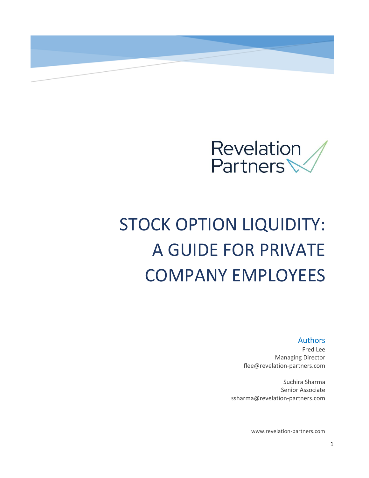

# STOCK OPTION LIQUIDITY: A GUIDE FOR PRIVATE COMPANY EMPLOYEES

Authors

Fred Lee Managing Director flee@revelation-partners.com

Suchira Sharma Senior Associate ssharma@revelation-partners.com

www.revelation-partners.com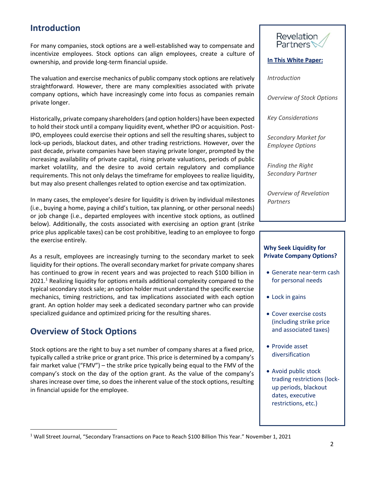## **Introduction**

For many companies, stock options are a well-established way to compensate and incentivize employees. Stock options can align employees, create a culture of ownership, and provide long-term financial upside.

The valuation and exercise mechanics of public company stock options are relatively straightforward. However, there are many complexities associated with private company options, which have increasingly come into focus as companies remain private longer.

Historically, private company shareholders (and option holders) have been expected to hold their stock until a company liquidity event, whether IPO or acquisition. Post-IPO, employees could exercise their options and sell the resulting shares, subject to lock-up periods, blackout dates, and other trading restrictions. However, over the past decade, private companies have been staying private longer, prompted by the increasing availability of private capital, rising private valuations, periods of public market volatility, and the desire to avoid certain regulatory and compliance requirements. This not only delays the timeframe for employees to realize liquidity, but may also present challenges related to option exercise and tax optimization.

In many cases, the employee's desire for liquidity is driven by individual milestones (i.e., buying a home, paying a child's tuition, tax planning, or other personal needs) or job change (i.e., departed employees with incentive stock options, as outlined below). Additionally, the costs associated with exercising an option grant (strike price plus applicable taxes) can be cost prohibitive, leading to an employee to forgo the exercise entirely.

As a result, employees are increasingly turning to the secondary market to seek liquidity for their options. The overall secondary market for private company shares has continued to grow in recent years and was projected to reach \$100 billion in 2021.<sup>1</sup> Realizing liquidity for options entails additional complexity compared to the typical secondary stock sale; an option holder must understand the specific exercise mechanics, timing restrictions, and tax implications associated with each option grant. An option holder may seek a dedicated secondary partner who can provide specialized guidance and optimized pricing for the resulting shares.

# **Overview of Stock Options**

Stock options are the right to buy a set number of company shares at a fixed price, typically called a strike price or grant price. This price is determined by a company's fair market value ("FMV") – the strike price typically being equal to the FMV of the company's stock on the day of the option grant. As the value of the company's shares increase over time, so does the inherent value of the stock options, resulting in financial upside for the employee.



#### **In This White Paper:**

*Introduction*

*Overview of Stock Options*

*Key Considerations*

*Secondary Market for Employee Options*

*Finding the Right Secondary Partner*

*Overview of Revelation Partners*

### **Why Seek Liquidity for Private Company Options?**

- Generate near-term cash for personal needs
- Lock in gains
- Cover exercise costs (including strike price and associated taxes)
- Provide asset diversification
- Avoid public stock trading restrictions (lockup periods, blackout dates, executive restrictions, etc.)

<sup>1</sup> Wall Street Journal, "Secondary Transactions on Pace to Reach \$100 Billion This Year." November 1, 2021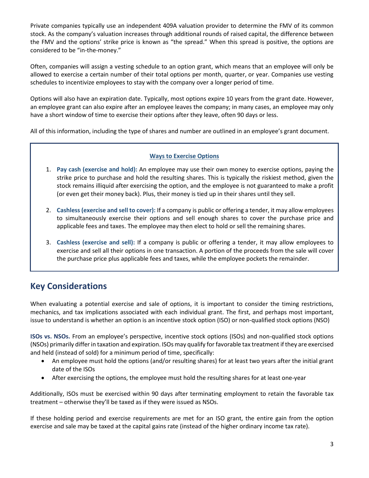Private companies typically use an independent 409A valuation provider to determine the FMV of its common stock. As the company's valuation increases through additional rounds of raised capital, the difference between the FMV and the options' strike price is known as "the spread." When this spread is positive, the options are considered to be "in-the-money."

Often, companies will assign a vesting schedule to an option grant, which means that an employee will only be allowed to exercise a certain number of their total options per month, quarter, or year. Companies use vesting schedules to incentivize employees to stay with the company over a longer period of time.

Options will also have an expiration date. Typically, most options expire 10 years from the grant date. However, an employee grant can also expire after an employee leaves the company; in many cases, an employee may only have a short window of time to exercise their options after they leave, often 90 days or less.

All of this information, including the type of shares and number are outlined in an employee's grant document.

### **Ways to Exercise Options**

- 1. **Pay cash (exercise and hold):** An employee may use their own money to exercise options, paying the strike price to purchase and hold the resulting shares. This is typically the riskiest method, given the stock remains illiquid after exercising the option, and the employee is not guaranteed to make a profit (or even get their money back). Plus, their money is tied up in their shares until they sell.
- 2. **Cashless (exercise and sell to cover):** If a company is public or offering a tender, it may allow employees to simultaneously exercise their options and sell enough shares to cover the purchase price and applicable fees and taxes. The employee may then elect to hold or sell the remaining shares.
- 3. **Cashless (exercise and sell):** If a company is public or offering a tender, it may allow employees to exercise and sell all their options in one transaction. A portion of the proceeds from the sale will cover the purchase price plus applicable fees and taxes, while the employee pockets the remainder.

# **Key Considerations**

When evaluating a potential exercise and sale of options, it is important to consider the timing restrictions, mechanics, and tax implications associated with each individual grant. The first, and perhaps most important, issue to understand is whether an option is an incentive stock option (ISO) or non-qualified stock options (NSO)

**ISOs vs. NSOs.** From an employee's perspective, incentive stock options (ISOs) and non-qualified stock options (NSOs) primarily differ in taxation and expiration. ISOs may qualify for favorable tax treatment if they are exercised and held (instead of sold) for a minimum period of time, specifically:

- An employee must hold the options (and/or resulting shares) for at least two years after the initial grant date of the ISOs
- After exercising the options, the employee must hold the resulting shares for at least one-year

Additionally, ISOs must be exercised within 90 days after terminating employment to retain the favorable tax treatment – otherwise they'll be taxed as if they were issued as NSOs.

If these holding period and exercise requirements are met for an ISO grant, the entire gain from the option exercise and sale may be taxed at the capital gains rate (instead of the higher ordinary income tax rate).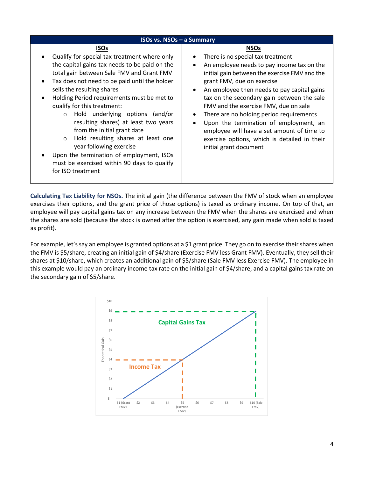| <b>ISOs vs. NSOs - a Summary</b>                                                                                                                                                                                                                                                                                                                                                                                                                                                                                                                                                                                                                    |                                                                                                                                                                                                                                                                                                                                                                                                                                                                                                                                                |  |  |  |
|-----------------------------------------------------------------------------------------------------------------------------------------------------------------------------------------------------------------------------------------------------------------------------------------------------------------------------------------------------------------------------------------------------------------------------------------------------------------------------------------------------------------------------------------------------------------------------------------------------------------------------------------------------|------------------------------------------------------------------------------------------------------------------------------------------------------------------------------------------------------------------------------------------------------------------------------------------------------------------------------------------------------------------------------------------------------------------------------------------------------------------------------------------------------------------------------------------------|--|--|--|
| <b>ISOs</b><br>Qualify for special tax treatment where only<br>the capital gains tax needs to be paid on the<br>total gain between Sale FMV and Grant FMV<br>Tax does not need to be paid until the holder<br>$\bullet$<br>sells the resulting shares<br>Holding Period requirements must be met to<br>qualify for this treatment:<br>Hold underlying options (and/or<br>$\circ$<br>resulting shares) at least two years<br>from the initial grant date<br>Hold resulting shares at least one<br>$\circ$<br>year following exercise<br>Upon the termination of employment, ISOs<br>must be exercised within 90 days to qualify<br>for ISO treatment | <b>NSOs</b><br>There is no special tax treatment<br>An employee needs to pay income tax on the<br>initial gain between the exercise FMV and the<br>grant FMV, due on exercise<br>An employee then needs to pay capital gains<br>$\bullet$<br>tax on the secondary gain between the sale<br>FMV and the exercise FMV, due on sale<br>There are no holding period requirements<br>Upon the termination of employment, an<br>employee will have a set amount of time to<br>exercise options, which is detailed in their<br>initial grant document |  |  |  |

**Calculating Tax Liability for NSOs.** The initial gain (the difference between the FMV of stock when an employee exercises their options, and the grant price of those options) is taxed as ordinary income. On top of that, an employee will pay capital gains tax on any increase between the FMV when the shares are exercised and when the shares are sold (because the stock is owned after the option is exercised, any gain made when sold is taxed as profit).

For example, let's say an employee is granted options at a \$1 grant price. They go on to exercise their shares when the FMV is \$5/share, creating an initial gain of \$4/share (Exercise FMV less Grant FMV). Eventually, they sell their shares at \$10/share, which creates an additional gain of \$5/share (Sale FMV less Exercise FMV). The employee in this example would pay an ordinary income tax rate on the initial gain of \$4/share, and a capital gains tax rate on the secondary gain of \$5/share.

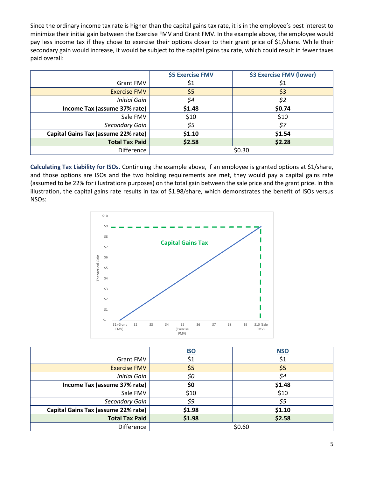Since the ordinary income tax rate is higher than the capital gains tax rate, it is in the employee's best interest to minimize their initial gain between the Exercise FMV and Grant FMV. In the example above, the employee would pay less income tax if they chose to exercise their options closer to their grant price of \$1/share. While their secondary gain would increase, it would be subject to the capital gains tax rate, which could result in fewer taxes paid overall:

|                                     | \$5 Exercise FMV | \$3 Exercise FMV (lower) |
|-------------------------------------|------------------|--------------------------|
| <b>Grant FMV</b>                    | \$1              | \$1                      |
| <b>Exercise FMV</b>                 | \$5              | \$3                      |
| <b>Initial Gain</b>                 | \$4              | \$2                      |
| Income Tax (assume 37% rate)        | \$1.48           | \$0.74                   |
| Sale FMV                            | \$10             | \$10                     |
| Secondary Gain                      | \$5              | \$7                      |
| Capital Gains Tax (assume 22% rate) | \$1.10           | \$1.54                   |
| <b>Total Tax Paid</b>               | \$2.58           | \$2.28                   |
| <b>Difference</b>                   | \$0.30           |                          |

**Calculating Tax Liability for ISOs.** Continuing the example above, if an employee is granted options at \$1/share, and those options are ISOs and the two holding requirements are met, they would pay a capital gains rate (assumed to be 22% for illustrations purposes) on the total gain between the sale price and the grant price. In this illustration, the capital gains rate results in tax of \$1.98/share, which demonstrates the benefit of ISOs versus NSOs:



|                                     | <u>ISO</u> | <b>NSO</b> |
|-------------------------------------|------------|------------|
| <b>Grant FMV</b>                    | \$1        | \$1        |
| <b>Exercise FMV</b>                 | \$5        | \$5        |
| <b>Initial Gain</b>                 | \$0        | \$4        |
| Income Tax (assume 37% rate)        | \$0        | \$1.48     |
| Sale FMV                            | \$10       | \$10       |
| Secondary Gain                      | \$9        | \$5        |
| Capital Gains Tax (assume 22% rate) | \$1.98     | \$1.10     |
| <b>Total Tax Paid</b>               | \$1.98     | \$2.58     |
| <b>Difference</b>                   | \$0.60     |            |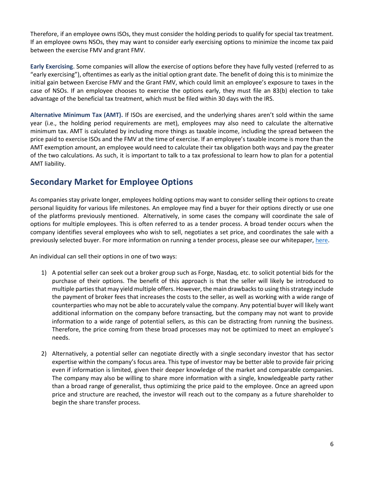Therefore, if an employee owns ISOs, they must consider the holding periods to qualify for special tax treatment. If an employee owns NSOs, they may want to consider early exercising options to minimize the income tax paid between the exercise FMV and grant FMV.

**Early Exercising**. Some companies will allow the exercise of options before they have fully vested (referred to as "early exercising"), oftentimes as early as the initial option grant date. The benefit of doing this is to minimize the initial gain between Exercise FMV and the Grant FMV, which could limit an employee's exposure to taxes in the case of NSOs. If an employee chooses to exercise the options early, they must file an 83(b) election to take advantage of the beneficial tax treatment, which must be filed within 30 days with the IRS.

**Alternative Minimum Tax (AMT).** If ISOs are exercised, and the underlying shares aren't sold within the same year (i.e., the holding period requirements are met), employees may also need to calculate the alternative minimum tax. AMT is calculated by including more things as taxable income, including the spread between the price paid to exercise ISOs and the FMV at the time of exercise. If an employee's taxable income is more than the AMT exemption amount, an employee would need to calculate their tax obligation both ways and pay the greater of the two calculations. As such, it is important to talk to a tax professional to learn how to plan for a potential AMT liability.

# **Secondary Market for Employee Options**

As companies stay private longer, employees holding options may want to consider selling their options to create personal liquidity for various life milestones. An employee may find a buyer for their options directly or use one of the platforms previously mentioned. Alternatively, in some cases the company will coordinate the sale of options for multiple employees. This is often referred to as a tender process. A broad tender occurs when the company identifies several employees who wish to sell, negotiates a set price, and coordinates the sale with a previously selected buyer. For more information on running a tender process, please see our whitepaper[, here.](https://www.revelation-partners.com/_files/ugd/6e7c90_d491d7012e5d4a4dbf7b3f1b6528c68f.pdf)

An individual can sell their options in one of two ways:

- 1) A potential seller can seek out a broker group such as Forge, Nasdaq, etc. to solicit potential bids for the purchase of their options. The benefit of this approach is that the seller will likely be introduced to multiple parties that may yield multiple offers. However, the main drawbacks to using this strategy include the payment of broker fees that increases the costs to the seller, as well as working with a wide range of counterparties who may not be able to accurately value the company. Any potential buyer will likely want additional information on the company before transacting, but the company may not want to provide information to a wide range of potential sellers, as this can be distracting from running the business. Therefore, the price coming from these broad processes may not be optimized to meet an employee's needs.
- 2) Alternatively, a potential seller can negotiate directly with a single secondary investor that has sector expertise within the company's focus area. This type of investor may be better able to provide fair pricing even if information is limited, given their deeper knowledge of the market and comparable companies. The company may also be willing to share more information with a single, knowledgeable party rather than a broad range of generalist, thus optimizing the price paid to the employee. Once an agreed upon price and structure are reached, the investor will reach out to the company as a future shareholder to begin the share transfer process.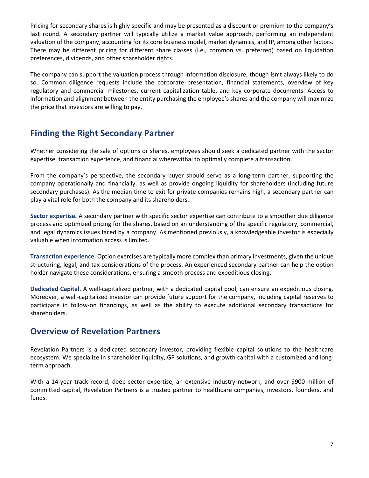Pricing for secondary shares is highly specific and may be presented as a discount or premium to the company's last round. A secondary partner will typically utilize a market value approach, performing an independent valuation of the company, accounting for its core business model, market dynamics, and IP, among other factors. There may be different pricing for different share classes (i.e., common vs. preferred) based on liquidation preferences, dividends, and other shareholder rights.

The company can support the valuation process through information disclosure, though isn't always likely to do so. Common diligence requests include the corporate presentation, financial statements, overview of key regulatory and commercial milestones, current capitalization table, and key corporate documents. Access to information and alignment between the entity purchasing the employee's shares and the company will maximize the price that investors are willing to pay.

# **Finding the Right Secondary Partner**

Whether considering the sale of options or shares, employees should seek a dedicated partner with the sector expertise, transaction experience, and financial wherewithal to optimally complete a transaction.

From the company's perspective, the secondary buyer should serve as a long-term partner, supporting the company operationally and financially, as well as provide ongoing liquidity for shareholders (including future secondary purchases). As the median time to exit for private companies remains high, a secondary partner can play a vital role for both the company and its shareholders.

**Sector expertise.** A secondary partner with specific sector expertise can contribute to a smoother due diligence process and optimized pricing for the shares, based on an understanding of the specific regulatory, commercial, and legal dynamics issues faced by a company. As mentioned previously, a knowledgeable investor is especially valuable when information access is limited.

**Transaction experience.** Option exercises are typically more complex than primary investments, given the unique structuring, legal, and tax considerations of the process. An experienced secondary partner can help the option holder navigate these considerations, ensuring a smooth process and expeditious closing.

**Dedicated Capital.** A well-capitalized partner, with a dedicated capital pool, can ensure an expeditious closing. Moreover, a well-capitalized investor can provide future support for the company, including capital reserves to participate in follow-on financings, as well as the ability to execute additional secondary transactions for shareholders.

# **Overview of Revelation Partners**

Revelation Partners is a dedicated secondary investor, providing flexible capital solutions to the healthcare ecosystem. We specialize in shareholder liquidity, GP solutions, and growth capital with a customized and longterm approach.

With a 14-year track record, deep sector expertise, an extensive industry network, and over \$900 million of committed capital, Revelation Partners is a trusted partner to healthcare companies, investors, founders, and funds.